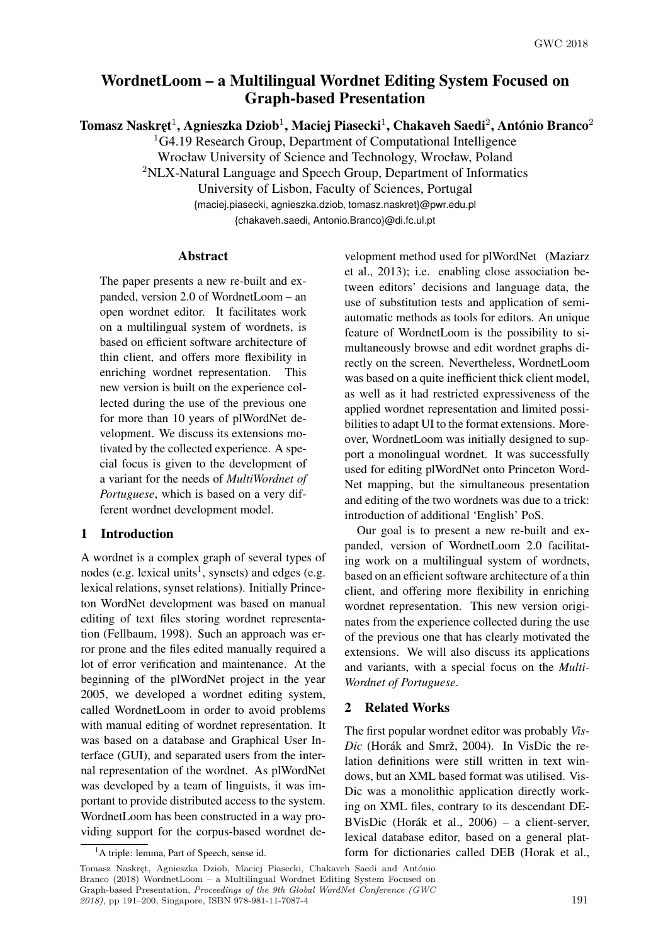# <span id="page-0-0"></span>WordnetLoom – a Multilingual Wordnet Editing System Focused on Graph-based Presentation

Tomasz Naskręt $^1$ , Agnieszka Dziob $^1$ , Maciej Piasecki $^1$ , Chakaveh Saedi $^2$ , António Branco $^2$ 

<sup>1</sup>G4.19 Research Group, Department of Computational Intelligence

Wrocław University of Science and Technology, Wrocław, Poland

<sup>2</sup>NLX-Natural Language and Speech Group, Department of Informatics

University of Lisbon, Faculty of Sciences, Portugal

{maciej.piasecki, agnieszka.dziob, tomasz.naskret}@pwr.edu.pl

{chakaveh.saedi, Antonio.Branco}@di.fc.ul.pt

# Abstract

The paper presents a new re-built and expanded, version 2.0 of WordnetLoom – an open wordnet editor. It facilitates work on a multilingual system of wordnets, is based on efficient software architecture of thin client, and offers more flexibility in enriching wordnet representation. This new version is built on the experience collected during the use of the previous one for more than 10 years of plWordNet development. We discuss its extensions motivated by the collected experience. A special focus is given to the development of a variant for the needs of *MultiWordnet of Portuguese*, which is based on a very different wordnet development model.

# 1 Introduction

A wordnet is a complex graph of several types of nodes (e.g. lexical units<sup>1</sup>, synsets) and edges (e.g. lexical relations, synset relations). Initially Princeton WordNet development was based on manual editing of text files storing wordnet representation (Fellbaum, 1998). Such an approach was error prone and the files edited manually required a lot of error verification and maintenance. At the beginning of the plWordNet project in the year 2005, we developed a wordnet editing system, called WordnetLoom in order to avoid problems with manual editing of wordnet representation. It was based on a database and Graphical User Interface (GUI), and separated users from the internal representation of the wordnet. As plWordNet was developed by a team of linguists, it was important to provide distributed access to the system. WordnetLoom has been constructed in a way providing support for the corpus-based wordnet development method used for plWordNet (Maziarz et al., 2013); i.e. enabling close association between editors' decisions and language data, the use of substitution tests and application of semiautomatic methods as tools for editors. An unique feature of WordnetLoom is the possibility to simultaneously browse and edit wordnet graphs directly on the screen. Nevertheless, WordnetLoom was based on a quite inefficient thick client model. as well as it had restricted expressiveness of the applied wordnet representation and limited possibilities to adapt UI to the format extensions. Moreover, WordnetLoom was initially designed to support a monolingual wordnet. It was successfully used for editing plWordNet onto Princeton Word-Net mapping, but the simultaneous presentation and editing of the two wordnets was due to a trick: introduction of additional 'English' PoS.

Our goal is to present a new re-built and expanded, version of WordnetLoom 2.0 facilitating work on a multilingual system of wordnets, based on an efficient software architecture of a thin client, and offering more flexibility in enriching wordnet representation. This new version originates from the experience collected during the use of the previous one that has clearly motivated the extensions. We will also discuss its applications and variants, with a special focus on the *Multi-Wordnet of Portuguese*.

## 2 Related Works

The first popular wordnet editor was probably *Vis-Dic* (Horák and Smrž, 2004). In VisDic the relation definitions were still written in text windows, but an XML based format was utilised. Vis-Dic was a monolithic application directly working on XML files, contrary to its descendant DE-BVisDic (Horák et al., 2006) – a client-server, lexical database editor, based on a general platform for dictionaries called DEB (Horak et al.,

Tomasz Naskręt, Agnieszka Dziob, Maciej Piasecki, Chakaveh Saedi and António Branco (2018) WordnetLoom – a Multilingual Wordnet Editing System Focused on Graph-based Presentation, *Proceedings of the 9th Global WordNet Conference (GWC 2018*), pp [191–](#page-0-0)200, Singapore, ISBN 978-981-11-7087-4 191

<sup>&</sup>lt;sup>1</sup>A triple: lemma, Part of Speech, sense id.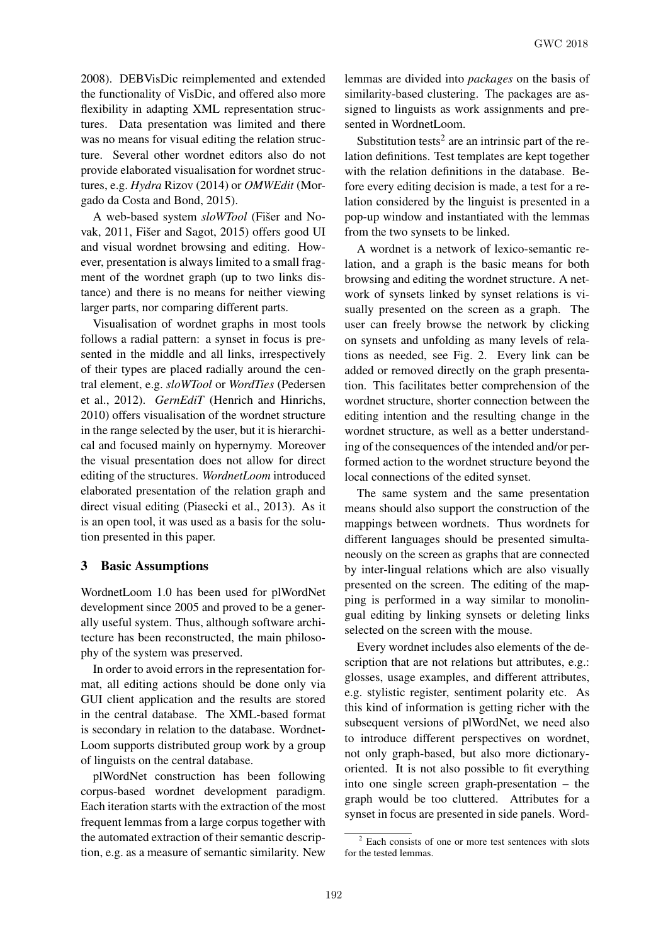2008). DEBVisDic reimplemented and extended the functionality of VisDic, and offered also more flexibility in adapting XML representation structures. Data presentation was limited and there was no means for visual editing the relation structure. Several other wordnet editors also do not provide elaborated visualisation for wordnet structures, e.g. *Hydra* Rizov (2014) or *OMWEdit* (Morgado da Costa and Bond, 2015).

A web-based system *sloWTool* (Fišer and Novak, 2011, Fišer and Sagot, 2015) offers good UI and visual wordnet browsing and editing. However, presentation is always limited to a small fragment of the wordnet graph (up to two links distance) and there is no means for neither viewing larger parts, nor comparing different parts.

Visualisation of wordnet graphs in most tools follows a radial pattern: a synset in focus is presented in the middle and all links, irrespectively of their types are placed radially around the central element, e.g. *sloWTool* or *WordTies* (Pedersen et al., 2012). *GernEdiT* (Henrich and Hinrichs, 2010) offers visualisation of the wordnet structure in the range selected by the user, but it is hierarchical and focused mainly on hypernymy. Moreover the visual presentation does not allow for direct editing of the structures. *WordnetLoom* introduced elaborated presentation of the relation graph and direct visual editing (Piasecki et al., 2013). As it is an open tool, it was used as a basis for the solution presented in this paper.

#### 3 Basic Assumptions

WordnetLoom 1.0 has been used for plWordNet development since 2005 and proved to be a generally useful system. Thus, although software architecture has been reconstructed, the main philosophy of the system was preserved.

In order to avoid errors in the representation format, all editing actions should be done only via GUI client application and the results are stored in the central database. The XML-based format is secondary in relation to the database. Wordnet-Loom supports distributed group work by a group of linguists on the central database.

plWordNet construction has been following corpus-based wordnet development paradigm. Each iteration starts with the extraction of the most frequent lemmas from a large corpus together with the automated extraction of their semantic description, e.g. as a measure of semantic similarity. New

lemmas are divided into *packages* on the basis of similarity-based clustering. The packages are assigned to linguists as work assignments and presented in WordnetLoom.

Substitution tests<sup>2</sup> are an intrinsic part of the relation definitions. Test templates are kept together with the relation definitions in the database. Before every editing decision is made, a test for a relation considered by the linguist is presented in a pop-up window and instantiated with the lemmas from the two synsets to be linked.

A wordnet is a network of lexico-semantic relation, and a graph is the basic means for both browsing and editing the wordnet structure. A network of synsets linked by synset relations is visually presented on the screen as a graph. The user can freely browse the network by clicking on synsets and unfolding as many levels of relations as needed, see Fig. 2. Every link can be added or removed directly on the graph presentation. This facilitates better comprehension of the wordnet structure, shorter connection between the editing intention and the resulting change in the wordnet structure, as well as a better understanding of the consequences of the intended and/or performed action to the wordnet structure beyond the local connections of the edited synset.

The same system and the same presentation means should also support the construction of the mappings between wordnets. Thus wordnets for different languages should be presented simultaneously on the screen as graphs that are connected by inter-lingual relations which are also visually presented on the screen. The editing of the mapping is performed in a way similar to monolingual editing by linking synsets or deleting links selected on the screen with the mouse.

Every wordnet includes also elements of the description that are not relations but attributes, e.g.: glosses, usage examples, and different attributes, e.g. stylistic register, sentiment polarity etc. As this kind of information is getting richer with the subsequent versions of plWordNet, we need also to introduce different perspectives on wordnet, not only graph-based, but also more dictionaryoriented. It is not also possible to fit everything into one single screen graph-presentation – the graph would be too cluttered. Attributes for a synset in focus are presented in side panels. Word-

 $2$  Each consists of one or more test sentences with slots for the tested lemmas.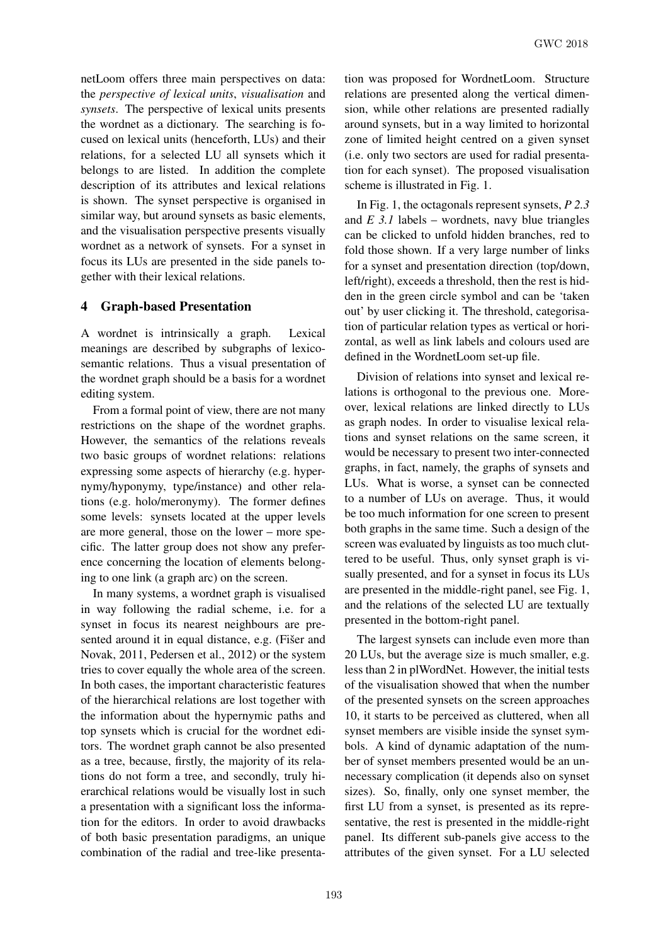netLoom offers three main perspectives on data: the *perspective of lexical units*, *visualisation* and *synsets*. The perspective of lexical units presents the wordnet as a dictionary. The searching is focused on lexical units (henceforth, LUs) and their relations, for a selected LU all synsets which it belongs to are listed. In addition the complete description of its attributes and lexical relations is shown. The synset perspective is organised in similar way, but around synsets as basic elements, and the visualisation perspective presents visually wordnet as a network of synsets. For a synset in focus its LUs are presented in the side panels together with their lexical relations.

# 4 Graph-based Presentation

A wordnet is intrinsically a graph. Lexical meanings are described by subgraphs of lexicosemantic relations. Thus a visual presentation of the wordnet graph should be a basis for a wordnet editing system.

From a formal point of view, there are not many restrictions on the shape of the wordnet graphs. However, the semantics of the relations reveals two basic groups of wordnet relations: relations expressing some aspects of hierarchy (e.g. hypernymy/hyponymy, type/instance) and other relations (e.g. holo/meronymy). The former defines some levels: synsets located at the upper levels are more general, those on the lower – more specific. The latter group does not show any preference concerning the location of elements belonging to one link (a graph arc) on the screen.

In many systems, a wordnet graph is visualised in way following the radial scheme, i.e. for a synset in focus its nearest neighbours are presented around it in equal distance, e.g. (Fišer and Novak, 2011, Pedersen et al., 2012) or the system tries to cover equally the whole area of the screen. In both cases, the important characteristic features of the hierarchical relations are lost together with the information about the hypernymic paths and top synsets which is crucial for the wordnet editors. The wordnet graph cannot be also presented as a tree, because, firstly, the majority of its relations do not form a tree, and secondly, truly hierarchical relations would be visually lost in such a presentation with a significant loss the information for the editors. In order to avoid drawbacks of both basic presentation paradigms, an unique combination of the radial and tree-like presentation was proposed for WordnetLoom. Structure relations are presented along the vertical dimension, while other relations are presented radially around synsets, but in a way limited to horizontal zone of limited height centred on a given synset (i.e. only two sectors are used for radial presentation for each synset). The proposed visualisation scheme is illustrated in Fig. 1.

In Fig. 1, the octagonals represent synsets, *P 2.3* and *E 3.1* labels – wordnets, navy blue triangles can be clicked to unfold hidden branches, red to fold those shown. If a very large number of links for a synset and presentation direction (top/down, left/right), exceeds a threshold, then the rest is hidden in the green circle symbol and can be 'taken out' by user clicking it. The threshold, categorisation of particular relation types as vertical or horizontal, as well as link labels and colours used are defined in the WordnetLoom set-up file.

Division of relations into synset and lexical relations is orthogonal to the previous one. Moreover, lexical relations are linked directly to LUs as graph nodes. In order to visualise lexical relations and synset relations on the same screen, it would be necessary to present two inter-connected graphs, in fact, namely, the graphs of synsets and LUs. What is worse, a synset can be connected to a number of LUs on average. Thus, it would be too much information for one screen to present both graphs in the same time. Such a design of the screen was evaluated by linguists as too much cluttered to be useful. Thus, only synset graph is visually presented, and for a synset in focus its LUs are presented in the middle-right panel, see Fig. 1, and the relations of the selected LU are textually presented in the bottom-right panel.

The largest synsets can include even more than 20 LUs, but the average size is much smaller, e.g. less than 2 in plWordNet. However, the initial tests of the visualisation showed that when the number of the presented synsets on the screen approaches 10, it starts to be perceived as cluttered, when all synset members are visible inside the synset symbols. A kind of dynamic adaptation of the number of synset members presented would be an unnecessary complication (it depends also on synset sizes). So, finally, only one synset member, the first LU from a synset, is presented as its representative, the rest is presented in the middle-right panel. Its different sub-panels give access to the attributes of the given synset. For a LU selected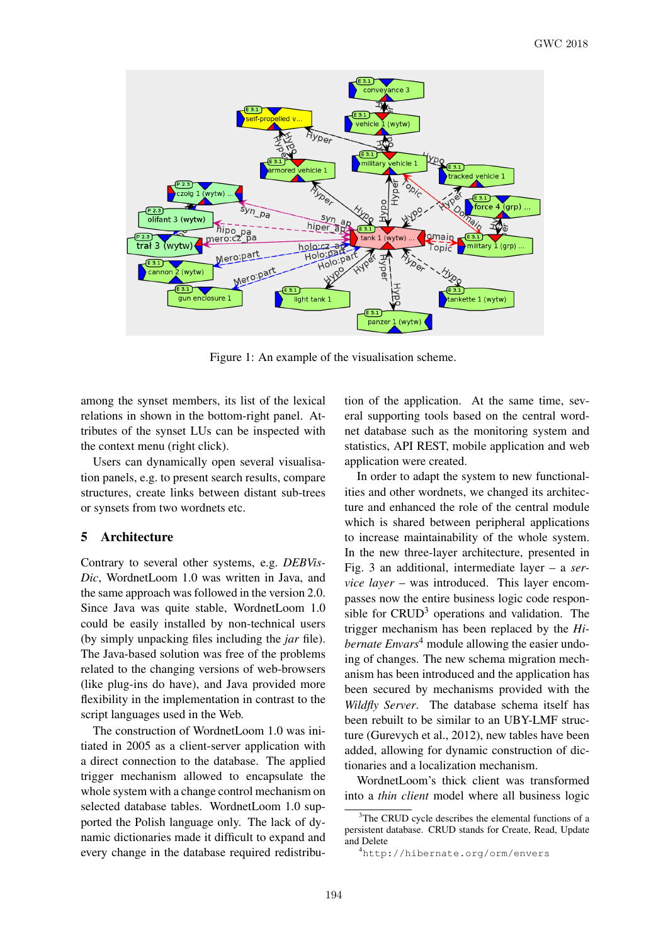

Figure 1: An example of the visualisation scheme.

among the synset members, its list of the lexical relations in shown in the bottom-right panel. Attributes of the synset LUs can be inspected with the context menu (right click).

Users can dynamically open several visualisation panels, e.g. to present search results, compare structures, create links between distant sub-trees or synsets from two wordnets etc.

# 5 Architecture

Contrary to several other systems, e.g. *DEBVis-Dic*, WordnetLoom 1.0 was written in Java, and the same approach was followed in the version 2.0. Since Java was quite stable, WordnetLoom 1.0 could be easily installed by non-technical users (by simply unpacking files including the *jar* file). The Java-based solution was free of the problems related to the changing versions of web-browsers (like plug-ins do have), and Java provided more flexibility in the implementation in contrast to the script languages used in the Web.

The construction of WordnetLoom 1.0 was initiated in 2005 as a client-server application with a direct connection to the database. The applied trigger mechanism allowed to encapsulate the whole system with a change control mechanism on selected database tables. WordnetLoom 1.0 supported the Polish language only. The lack of dynamic dictionaries made it difficult to expand and every change in the database required redistribution of the application. At the same time, several supporting tools based on the central wordnet database such as the monitoring system and statistics, API REST, mobile application and web application were created.

In order to adapt the system to new functionalities and other wordnets, we changed its architecture and enhanced the role of the central module which is shared between peripheral applications to increase maintainability of the whole system. In the new three-layer architecture, presented in Fig. 3 an additional, intermediate layer – a *service layer* – was introduced. This layer encompasses now the entire business logic code responsible for  $CRUD<sup>3</sup>$  operations and validation. The trigger mechanism has been replaced by the *Hibernate Envars*<sup>4</sup> module allowing the easier undoing of changes. The new schema migration mechanism has been introduced and the application has been secured by mechanisms provided with the *Wildfly Server*. The database schema itself has been rebuilt to be similar to an UBY-LMF structure (Gurevych et al., 2012), new tables have been added, allowing for dynamic construction of dictionaries and a localization mechanism.

WordnetLoom's thick client was transformed into a *thin client* model where all business logic

 $3$ The CRUD cycle describes the elemental functions of a persistent database. CRUD stands for Create, Read, Update and Delete

<sup>4</sup>http://hibernate.org/orm/envers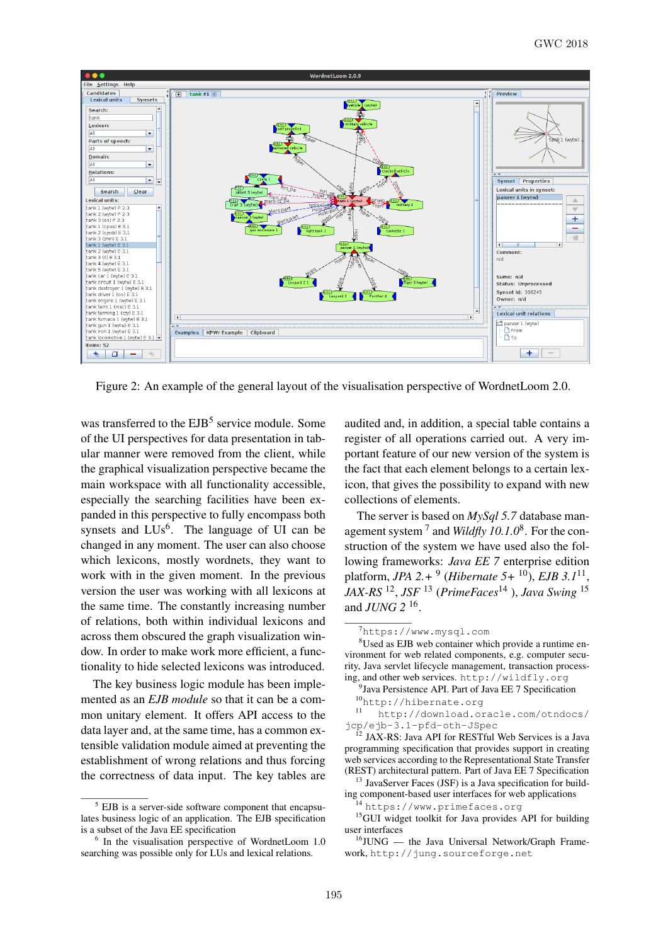

Figure 2: An example of the general layout of the visualisation perspective of WordnetLoom 2.0.

was transferred to the EJB<sup>5</sup> service module. Some of the UI perspectives for data presentation in tabular manner were removed from the client, while the graphical visualization perspective became the main workspace with all functionality accessible, especially the searching facilities have been expanded in this perspective to fully encompass both synsets and  $LUs^6$ . The language of UI can be changed in any moment. The user can also choose which lexicons, mostly wordnets, they want to work with in the given moment. In the previous version the user was working with all lexicons at the same time. The constantly increasing number of relations, both within individual lexicons and across them obscured the graph visualization window. In order to make work more efficient, a functionality to hide selected lexicons was introduced.

The key business logic module has been implemented as an *EJB module* so that it can be a common unitary element. It offers API access to the data layer and, at the same time, has a common extensible validation module aimed at preventing the establishment of wrong relations and thus forcing the correctness of data input. The key tables are

audited and, in addition, a special table contains a register of all operations carried out. A very important feature of our new version of the system is the fact that each element belongs to a certain lexicon, that gives the possibility to expand with new collections of elements.

The server is based on *MySql 5.7* database management system<sup>7</sup> and *Wildfly 10.1.0*<sup>8</sup>. For the construction of the system we have used also the following frameworks: *Java EE 7* enterprise edition platform, *JPA 2.+* <sup>9</sup> (*Hibernate 5+* <sup>10</sup>), *EJB 3.1*<sup>11</sup> , *JAX-RS* <sup>12</sup> , *JSF* <sup>13</sup> (*PrimeFaces*<sup>14</sup> ), *Java Swing* <sup>15</sup> and *JUNG 2* <sup>16</sup> .

EJB is a server-side software component that encapsulates business logic of an application. The EJB specification is a subset of the Java EE specification

<sup>6</sup> In the visualisation perspective of WordnetLoom 1.0 searching was possible only for LUs and lexical relations.

<sup>7</sup>https://www.mysql.com

<sup>8</sup>Used as EJB web container which provide a runtime environment for web related components, e.g. computer security, Java servlet lifecycle management, transaction processing, and other web services. http://wildfly.org

<sup>&</sup>lt;sup>9</sup> Java Persistence API. Part of Java EE 7 Specification  $^{10}$ http://hibernate.org

<sup>11</sup> http://download.oracle.com/otndocs/ jcp/ejb-3.1-pfd-oth-JSpec

<sup>&</sup>lt;sup>12</sup> JAX-RS: Java API for RESTful Web Services is a Java programming specification that provides support in creating web services according to the Representational State Transfer (REST) architectural pattern. Part of Java EE 7 Specification

<sup>&</sup>lt;sup>13</sup> JavaServer Faces (JSF) is a Java specification for building component-based user interfaces for web applications

<sup>14</sup> https://www.primefaces.org

<sup>&</sup>lt;sup>15</sup>GUI widget toolkit for Java provides API for building user interfaces

 $16$ JUNG — the Java Universal Network/Graph Framework, http://jung.sourceforge.net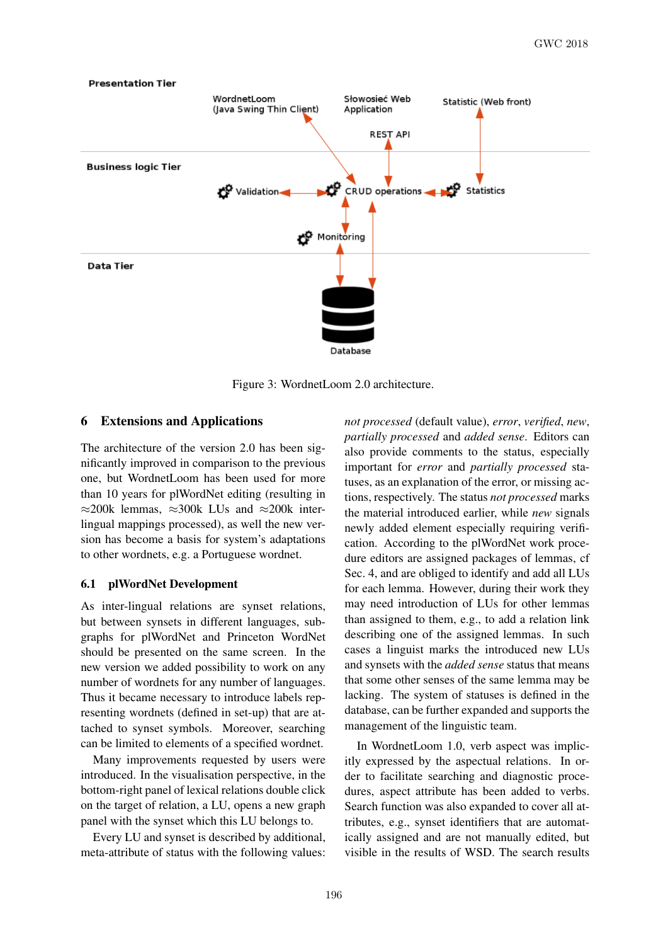

Figure 3: WordnetLoom 2.0 architecture.

### 6 Extensions and Applications

The architecture of the version 2.0 has been significantly improved in comparison to the previous one, but WordnetLoom has been used for more than 10 years for plWordNet editing (resulting in  $\approx$ 200k lemmas,  $\approx$ 300k LUs and  $\approx$ 200k interlingual mappings processed), as well the new version has become a basis for system's adaptations to other wordnets, e.g. a Portuguese wordnet.

#### 6.1 plWordNet Development

As inter-lingual relations are synset relations, but between synsets in different languages, subgraphs for plWordNet and Princeton WordNet should be presented on the same screen. In the new version we added possibility to work on any number of wordnets for any number of languages. Thus it became necessary to introduce labels representing wordnets (defined in set-up) that are attached to synset symbols. Moreover, searching can be limited to elements of a specified wordnet.

Many improvements requested by users were introduced. In the visualisation perspective, in the bottom-right panel of lexical relations double click on the target of relation, a LU, opens a new graph panel with the synset which this LU belongs to.

Every LU and synset is described by additional, meta-attribute of status with the following values:

*not processed* (default value), *error*, *verified*, *new*, *partially processed* and *added sense*. Editors can also provide comments to the status, especially important for *error* and *partially processed* statuses, as an explanation of the error, or missing actions, respectively. The status *not processed* marks the material introduced earlier, while *new* signals newly added element especially requiring verification. According to the plWordNet work procedure editors are assigned packages of lemmas, cf Sec. 4, and are obliged to identify and add all LUs for each lemma. However, during their work they may need introduction of LUs for other lemmas than assigned to them, e.g., to add a relation link describing one of the assigned lemmas. In such cases a linguist marks the introduced new LUs and synsets with the *added sense* status that means that some other senses of the same lemma may be lacking. The system of statuses is defined in the database, can be further expanded and supports the management of the linguistic team.

In WordnetLoom 1.0, verb aspect was implicitly expressed by the aspectual relations. In order to facilitate searching and diagnostic procedures, aspect attribute has been added to verbs. Search function was also expanded to cover all attributes, e.g., synset identifiers that are automatically assigned and are not manually edited, but visible in the results of WSD. The search results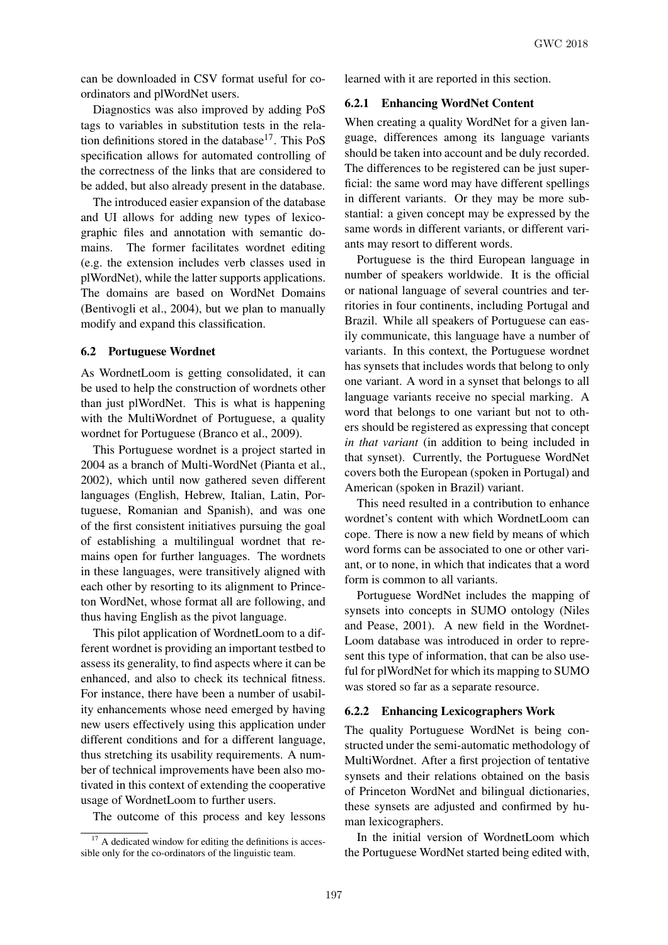can be downloaded in CSV format useful for coordinators and plWordNet users.

Diagnostics was also improved by adding PoS tags to variables in substitution tests in the relation definitions stored in the database<sup>17</sup>. This PoS specification allows for automated controlling of the correctness of the links that are considered to be added, but also already present in the database.

The introduced easier expansion of the database and UI allows for adding new types of lexicographic files and annotation with semantic domains. The former facilitates wordnet editing (e.g. the extension includes verb classes used in plWordNet), while the latter supports applications. The domains are based on WordNet Domains (Bentivogli et al., 2004), but we plan to manually modify and expand this classification.

#### 6.2 Portuguese Wordnet

As WordnetLoom is getting consolidated, it can be used to help the construction of wordnets other than just plWordNet. This is what is happening with the MultiWordnet of Portuguese, a quality wordnet for Portuguese (Branco et al., 2009).

This Portuguese wordnet is a project started in 2004 as a branch of Multi-WordNet (Pianta et al., 2002), which until now gathered seven different languages (English, Hebrew, Italian, Latin, Portuguese, Romanian and Spanish), and was one of the first consistent initiatives pursuing the goal of establishing a multilingual wordnet that remains open for further languages. The wordnets in these languages, were transitively aligned with each other by resorting to its alignment to Princeton WordNet, whose format all are following, and thus having English as the pivot language.

This pilot application of WordnetLoom to a different wordnet is providing an important testbed to assess its generality, to find aspects where it can be enhanced, and also to check its technical fitness. For instance, there have been a number of usability enhancements whose need emerged by having new users effectively using this application under different conditions and for a different language, thus stretching its usability requirements. A number of technical improvements have been also motivated in this context of extending the cooperative usage of WordnetLoom to further users.

The outcome of this process and key lessons

learned with it are reported in this section.

# 6.2.1 Enhancing WordNet Content

When creating a quality WordNet for a given language, differences among its language variants should be taken into account and be duly recorded. The differences to be registered can be just superficial: the same word may have different spellings in different variants. Or they may be more substantial: a given concept may be expressed by the same words in different variants, or different variants may resort to different words.

Portuguese is the third European language in number of speakers worldwide. It is the official or national language of several countries and territories in four continents, including Portugal and Brazil. While all speakers of Portuguese can easily communicate, this language have a number of variants. In this context, the Portuguese wordnet has synsets that includes words that belong to only one variant. A word in a synset that belongs to all language variants receive no special marking. A word that belongs to one variant but not to others should be registered as expressing that concept *in that variant* (in addition to being included in that synset). Currently, the Portuguese WordNet covers both the European (spoken in Portugal) and American (spoken in Brazil) variant.

This need resulted in a contribution to enhance wordnet's content with which WordnetLoom can cope. There is now a new field by means of which word forms can be associated to one or other variant, or to none, in which that indicates that a word form is common to all variants.

Portuguese WordNet includes the mapping of synsets into concepts in SUMO ontology (Niles and Pease, 2001). A new field in the Wordnet-Loom database was introduced in order to represent this type of information, that can be also useful for plWordNet for which its mapping to SUMO was stored so far as a separate resource.

#### 6.2.2 Enhancing Lexicographers Work

The quality Portuguese WordNet is being constructed under the semi-automatic methodology of MultiWordnet. After a first projection of tentative synsets and their relations obtained on the basis of Princeton WordNet and bilingual dictionaries, these synsets are adjusted and confirmed by human lexicographers.

In the initial version of WordnetLoom which the Portuguese WordNet started being edited with,

 $17$  A dedicated window for editing the definitions is accessible only for the co-ordinators of the linguistic team.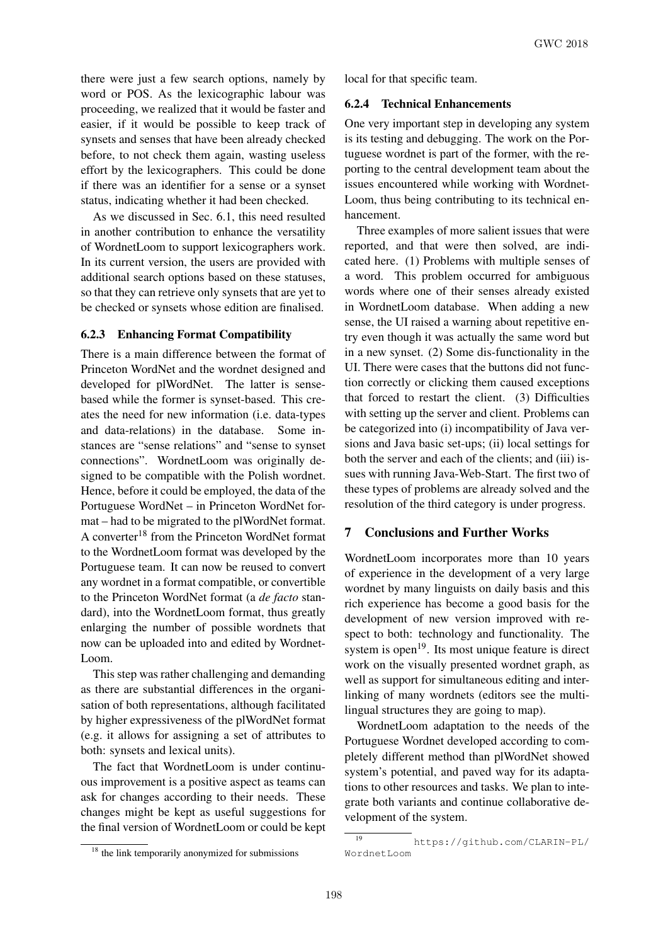there were just a few search options, namely by word or POS. As the lexicographic labour was proceeding, we realized that it would be faster and easier, if it would be possible to keep track of synsets and senses that have been already checked before, to not check them again, wasting useless effort by the lexicographers. This could be done if there was an identifier for a sense or a synset status, indicating whether it had been checked.

As we discussed in Sec. 6.1, this need resulted in another contribution to enhance the versatility of WordnetLoom to support lexicographers work. In its current version, the users are provided with additional search options based on these statuses, so that they can retrieve only synsets that are yet to be checked or synsets whose edition are finalised.

# 6.2.3 Enhancing Format Compatibility

There is a main difference between the format of Princeton WordNet and the wordnet designed and developed for plWordNet. The latter is sensebased while the former is synset-based. This creates the need for new information (i.e. data-types and data-relations) in the database. Some instances are "sense relations" and "sense to synset connections". WordnetLoom was originally designed to be compatible with the Polish wordnet. Hence, before it could be employed, the data of the Portuguese WordNet – in Princeton WordNet format – had to be migrated to the plWordNet format. A converter<sup>18</sup> from the Princeton WordNet format to the WordnetLoom format was developed by the Portuguese team. It can now be reused to convert any wordnet in a format compatible, or convertible to the Princeton WordNet format (a *de facto* standard), into the WordnetLoom format, thus greatly enlarging the number of possible wordnets that now can be uploaded into and edited by Wordnet-Loom.

This step was rather challenging and demanding as there are substantial differences in the organisation of both representations, although facilitated by higher expressiveness of the plWordNet format (e.g. it allows for assigning a set of attributes to both: synsets and lexical units).

The fact that WordnetLoom is under continuous improvement is a positive aspect as teams can ask for changes according to their needs. These changes might be kept as useful suggestions for the final version of WordnetLoom or could be kept local for that specific team.

## 6.2.4 Technical Enhancements

One very important step in developing any system is its testing and debugging. The work on the Portuguese wordnet is part of the former, with the reporting to the central development team about the issues encountered while working with Wordnet-Loom, thus being contributing to its technical enhancement.

Three examples of more salient issues that were reported, and that were then solved, are indicated here. (1) Problems with multiple senses of a word. This problem occurred for ambiguous words where one of their senses already existed in WordnetLoom database. When adding a new sense, the UI raised a warning about repetitive entry even though it was actually the same word but in a new synset. (2) Some dis-functionality in the UI. There were cases that the buttons did not function correctly or clicking them caused exceptions that forced to restart the client. (3) Difficulties with setting up the server and client. Problems can be categorized into (i) incompatibility of Java versions and Java basic set-ups; (ii) local settings for both the server and each of the clients; and (iii) issues with running Java-Web-Start. The first two of these types of problems are already solved and the resolution of the third category is under progress.

## 7 Conclusions and Further Works

WordnetLoom incorporates more than 10 years of experience in the development of a very large wordnet by many linguists on daily basis and this rich experience has become a good basis for the development of new version improved with respect to both: technology and functionality. The system is open $19$ . Its most unique feature is direct work on the visually presented wordnet graph, as well as support for simultaneous editing and interlinking of many wordnets (editors see the multilingual structures they are going to map).

WordnetLoom adaptation to the needs of the Portuguese Wordnet developed according to completely different method than plWordNet showed system's potential, and paved way for its adaptations to other resources and tasks. We plan to integrate both variants and continue collaborative development of the system.

<sup>&</sup>lt;sup>18</sup> the link temporarily anonymized for submissions

<sup>19</sup> https://github.com/CLARIN-PL/ WordnetLoom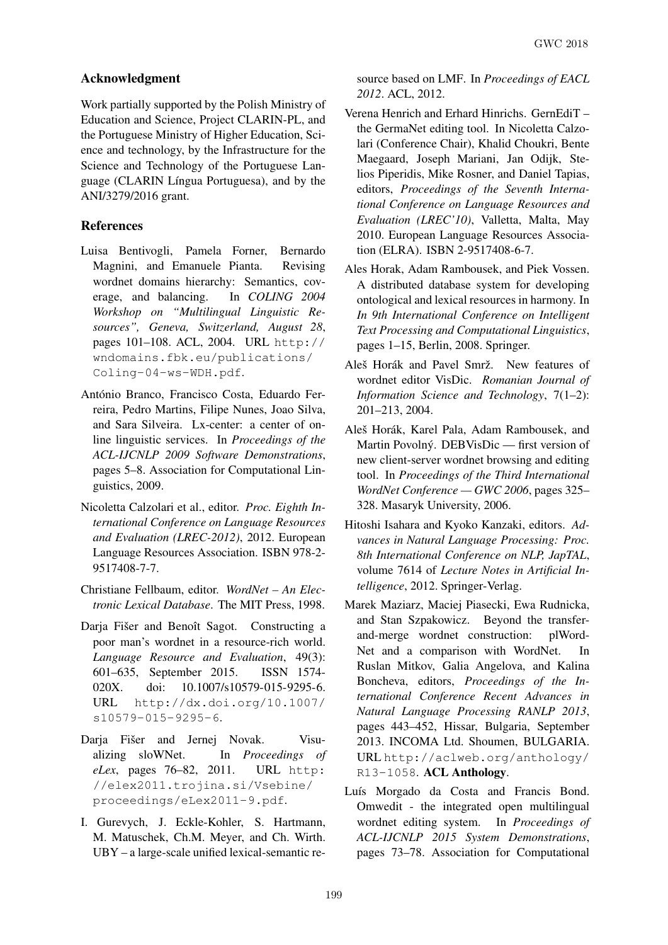# Acknowledgment

Work partially supported by the Polish Ministry of Education and Science, Project CLARIN-PL, and the Portuguese Ministry of Higher Education, Science and technology, by the Infrastructure for the Science and Technology of the Portuguese Language (CLARIN Língua Portuguesa), and by the ANI/3279/2016 grant.

# References

- Luisa Bentivogli, Pamela Forner, Bernardo Magnini, and Emanuele Pianta. Revising wordnet domains hierarchy: Semantics, coverage, and balancing. In *COLING 2004 Workshop on "Multilingual Linguistic Resources", Geneva, Switzerland, August 28*, pages 101–108. ACL, 2004. URL http:// wndomains.fbk.eu/publications/ Coling-04-ws-WDH.pdf.
- António Branco, Francisco Costa, Eduardo Ferreira, Pedro Martins, Filipe Nunes, Joao Silva, and Sara Silveira. Lx-center: a center of online linguistic services. In *Proceedings of the ACL-IJCNLP 2009 Software Demonstrations*, pages 5–8. Association for Computational Linguistics, 2009.
- Nicoletta Calzolari et al., editor. *Proc. Eighth International Conference on Language Resources and Evaluation (LREC-2012)*, 2012. European Language Resources Association. ISBN 978-2- 9517408-7-7.
- Christiane Fellbaum, editor. *WordNet An Electronic Lexical Database*. The MIT Press, 1998.
- Daria Fišer and Benoît Sagot. Constructing a poor man's wordnet in a resource-rich world. *Language Resource and Evaluation*, 49(3): 601–635, September 2015. ISSN 1574- 020X. doi: 10.1007/s10579-015-9295-6. URL http://dx.doi.org/10.1007/ s10579-015-9295-6.
- Darja Fišer and Jernej Novak. Visualizing sloWNet. In *Proceedings of eLex*, pages 76–82, 2011. URL http: //elex2011.trojina.si/Vsebine/ proceedings/eLex2011-9.pdf.
- I. Gurevych, J. Eckle-Kohler, S. Hartmann, M. Matuschek, Ch.M. Meyer, and Ch. Wirth. UBY – a large-scale unified lexical-semantic re-

source based on LMF. In *Proceedings of EACL 2012*. ACL, 2012.

- Verena Henrich and Erhard Hinrichs. GernEdiT the GermaNet editing tool. In Nicoletta Calzolari (Conference Chair), Khalid Choukri, Bente Maegaard, Joseph Mariani, Jan Odijk, Stelios Piperidis, Mike Rosner, and Daniel Tapias, editors, *Proceedings of the Seventh International Conference on Language Resources and Evaluation (LREC'10)*, Valletta, Malta, May 2010. European Language Resources Association (ELRA). ISBN 2-9517408-6-7.
- Ales Horak, Adam Rambousek, and Piek Vossen. A distributed database system for developing ontological and lexical resources in harmony. In *In 9th International Conference on Intelligent Text Processing and Computational Linguistics*, pages 1–15, Berlin, 2008. Springer.
- Aleš Horák and Pavel Smrž. New features of wordnet editor VisDic. *Romanian Journal of Information Science and Technology*, 7(1–2): 201–213, 2004.
- Aleš Horák, Karel Pala, Adam Rambousek, and Martin Povolný. DEBVisDic — first version of new client-server wordnet browsing and editing tool. In *Proceedings of the Third International WordNet Conference — GWC 2006*, pages 325– 328. Masaryk University, 2006.
- Hitoshi Isahara and Kyoko Kanzaki, editors. *Advances in Natural Language Processing: Proc. 8th International Conference on NLP, JapTAL*, volume 7614 of *Lecture Notes in Artificial Intelligence*, 2012. Springer-Verlag.
- Marek Maziarz, Maciej Piasecki, Ewa Rudnicka, and Stan Szpakowicz. Beyond the transferand-merge wordnet construction: plWord-Net and a comparison with WordNet. In Ruslan Mitkov, Galia Angelova, and Kalina Boncheva, editors, *Proceedings of the International Conference Recent Advances in Natural Language Processing RANLP 2013*, pages 443–452, Hissar, Bulgaria, September 2013. INCOMA Ltd. Shoumen, BULGARIA. URL http://aclweb.org/anthology/ R13-1058. ACL Anthology.
- Luís Morgado da Costa and Francis Bond. Omwedit - the integrated open multilingual wordnet editing system. In *Proceedings of ACL-IJCNLP 2015 System Demonstrations*, pages 73–78. Association for Computational